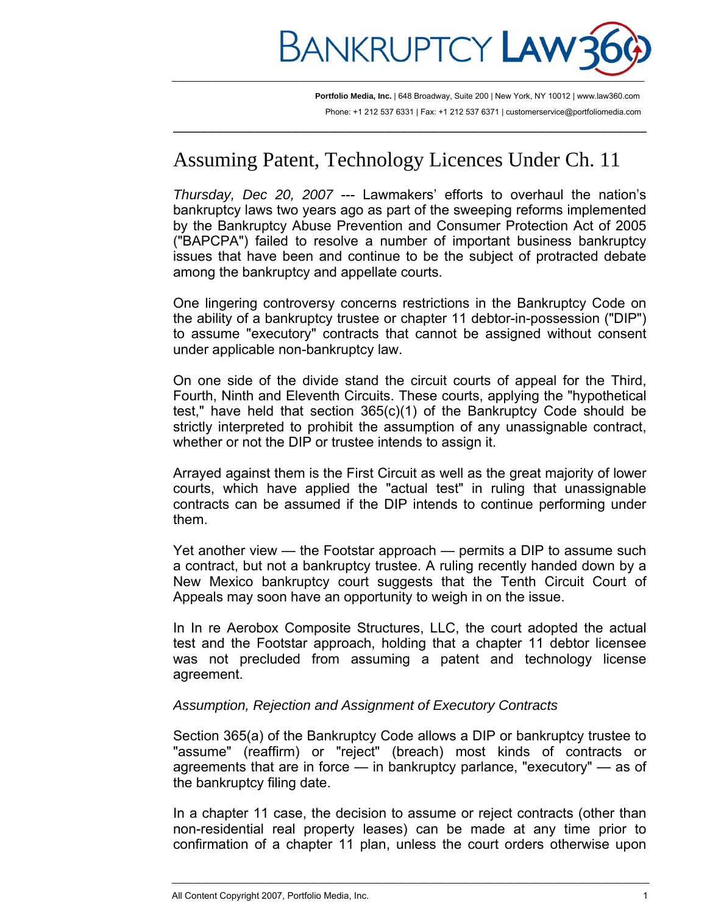

 $\overline{\phantom{a}}$  , and the contribution of the contribution of the contribution of the contribution of the contribution of  $\overline{\phantom{a}}$ 

**Portfolio Media, Inc.** | 648 Broadway, Suite 200 | New York, NY 10012 | www.law360.com Phone: +1 212 537 6331 | Fax: +1 212 537 6371 | customerservice@portfoliomedia.com

# Assuming Patent, Technology Licences Under Ch. 11

*Thursday, Dec 20, 2007* --- Lawmakers' efforts to overhaul the nation's bankruptcy laws two years ago as part of the sweeping reforms implemented by the Bankruptcy Abuse Prevention and Consumer Protection Act of 2005 ("BAPCPA") failed to resolve a number of important business bankruptcy issues that have been and continue to be the subject of protracted debate among the bankruptcy and appellate courts.

One lingering controversy concerns restrictions in the Bankruptcy Code on the ability of a bankruptcy trustee or chapter 11 debtor-in-possession ("DIP") to assume "executory" contracts that cannot be assigned without consent under applicable non-bankruptcy law.

On one side of the divide stand the circuit courts of appeal for the Third, Fourth, Ninth and Eleventh Circuits. These courts, applying the "hypothetical test," have held that section 365(c)(1) of the Bankruptcy Code should be strictly interpreted to prohibit the assumption of any unassignable contract, whether or not the DIP or trustee intends to assign it.

Arrayed against them is the First Circuit as well as the great majority of lower courts, which have applied the "actual test" in ruling that unassignable contracts can be assumed if the DIP intends to continue performing under them.

Yet another view — the Footstar approach — permits a DIP to assume such a contract, but not a bankruptcy trustee. A ruling recently handed down by a New Mexico bankruptcy court suggests that the Tenth Circuit Court of Appeals may soon have an opportunity to weigh in on the issue.

In In re Aerobox Composite Structures, LLC, the court adopted the actual test and the Footstar approach, holding that a chapter 11 debtor licensee was not precluded from assuming a patent and technology license agreement.

## *Assumption, Rejection and Assignment of Executory Contracts*

Section 365(a) of the Bankruptcy Code allows a DIP or bankruptcy trustee to "assume" (reaffirm) or "reject" (breach) most kinds of contracts or agreements that are in force — in bankruptcy parlance, "executory" — as of the bankruptcy filing date.

In a chapter 11 case, the decision to assume or reject contracts (other than non-residential real property leases) can be made at any time prior to confirmation of a chapter 11 plan, unless the court orders otherwise upon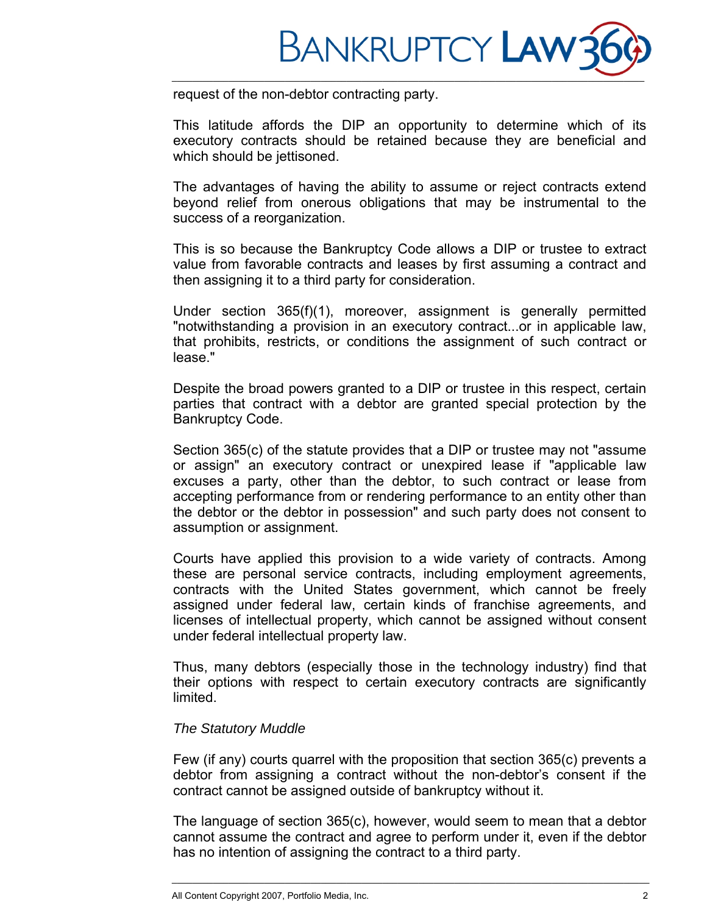

request of the non-debtor contracting party.

This latitude affords the DIP an opportunity to determine which of its executory contracts should be retained because they are beneficial and which should be jettisoned.

The advantages of having the ability to assume or reject contracts extend beyond relief from onerous obligations that may be instrumental to the success of a reorganization.

This is so because the Bankruptcy Code allows a DIP or trustee to extract value from favorable contracts and leases by first assuming a contract and then assigning it to a third party for consideration.

Under section 365(f)(1), moreover, assignment is generally permitted "notwithstanding a provision in an executory contract...or in applicable law, that prohibits, restricts, or conditions the assignment of such contract or lease."

Despite the broad powers granted to a DIP or trustee in this respect, certain parties that contract with a debtor are granted special protection by the Bankruptcy Code.

Section 365(c) of the statute provides that a DIP or trustee may not "assume or assign" an executory contract or unexpired lease if "applicable law excuses a party, other than the debtor, to such contract or lease from accepting performance from or rendering performance to an entity other than the debtor or the debtor in possession" and such party does not consent to assumption or assignment.

Courts have applied this provision to a wide variety of contracts. Among these are personal service contracts, including employment agreements, contracts with the United States government, which cannot be freely assigned under federal law, certain kinds of franchise agreements, and licenses of intellectual property, which cannot be assigned without consent under federal intellectual property law.

Thus, many debtors (especially those in the technology industry) find that their options with respect to certain executory contracts are significantly limited.

## *The Statutory Muddle*

Few (if any) courts quarrel with the proposition that section 365(c) prevents a debtor from assigning a contract without the non-debtor's consent if the contract cannot be assigned outside of bankruptcy without it.

The language of section 365(c), however, would seem to mean that a debtor cannot assume the contract and agree to perform under it, even if the debtor has no intention of assigning the contract to a third party.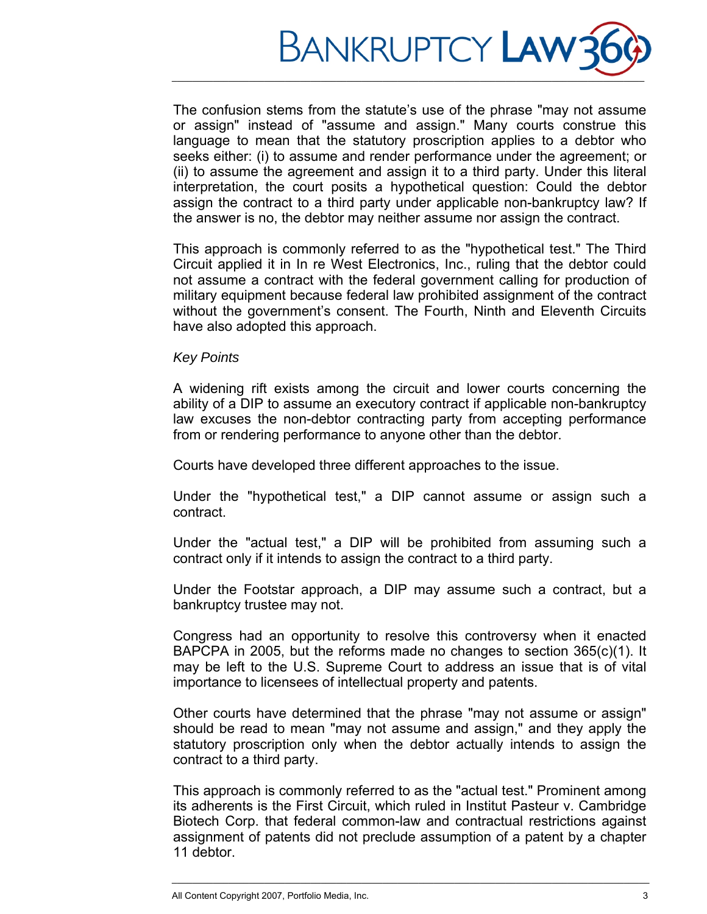

The confusion stems from the statute's use of the phrase "may not assume or assign" instead of "assume and assign." Many courts construe this language to mean that the statutory proscription applies to a debtor who seeks either: (i) to assume and render performance under the agreement; or (ii) to assume the agreement and assign it to a third party. Under this literal interpretation, the court posits a hypothetical question: Could the debtor assign the contract to a third party under applicable non-bankruptcy law? If the answer is no, the debtor may neither assume nor assign the contract.

This approach is commonly referred to as the "hypothetical test." The Third Circuit applied it in In re West Electronics, Inc., ruling that the debtor could not assume a contract with the federal government calling for production of military equipment because federal law prohibited assignment of the contract without the government's consent. The Fourth, Ninth and Eleventh Circuits have also adopted this approach.

### *Key Points*

A widening rift exists among the circuit and lower courts concerning the ability of a DIP to assume an executory contract if applicable non-bankruptcy law excuses the non-debtor contracting party from accepting performance from or rendering performance to anyone other than the debtor.

Courts have developed three different approaches to the issue.

Under the "hypothetical test," a DIP cannot assume or assign such a contract.

Under the "actual test," a DIP will be prohibited from assuming such a contract only if it intends to assign the contract to a third party.

Under the Footstar approach, a DIP may assume such a contract, but a bankruptcy trustee may not.

Congress had an opportunity to resolve this controversy when it enacted BAPCPA in 2005, but the reforms made no changes to section 365(c)(1). It may be left to the U.S. Supreme Court to address an issue that is of vital importance to licensees of intellectual property and patents.

Other courts have determined that the phrase "may not assume or assign" should be read to mean "may not assume and assign," and they apply the statutory proscription only when the debtor actually intends to assign the contract to a third party.

This approach is commonly referred to as the "actual test." Prominent among its adherents is the First Circuit, which ruled in Institut Pasteur v. Cambridge Biotech Corp. that federal common-law and contractual restrictions against assignment of patents did not preclude assumption of a patent by a chapter 11 debtor.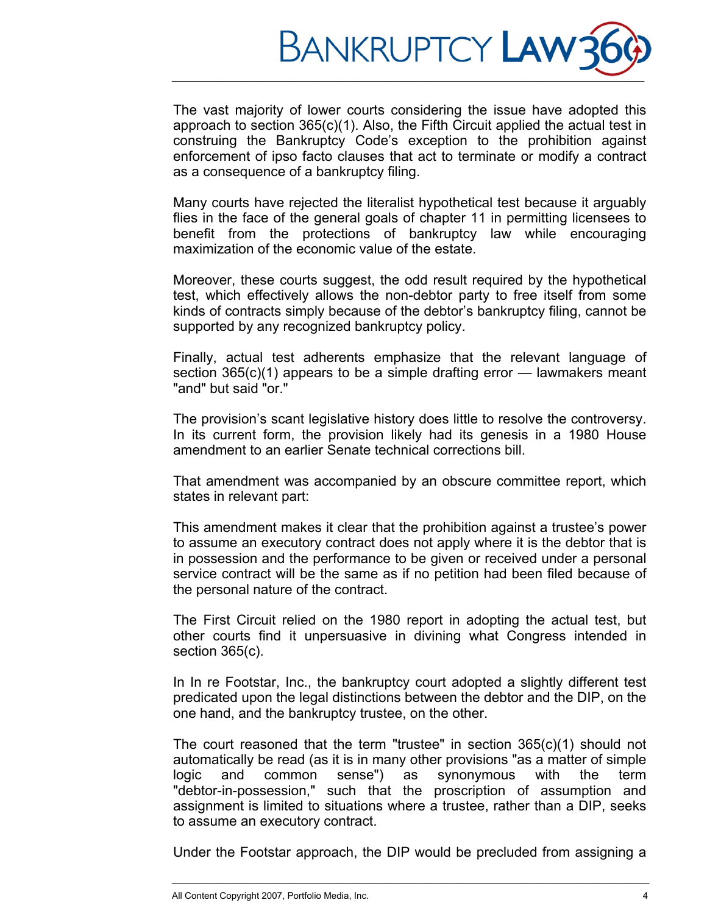

The vast majority of lower courts considering the issue have adopted this approach to section 365(c)(1). Also, the Fifth Circuit applied the actual test in construing the Bankruptcy Code's exception to the prohibition against enforcement of ipso facto clauses that act to terminate or modify a contract as a consequence of a bankruptcy filing.

Many courts have rejected the literalist hypothetical test because it arguably flies in the face of the general goals of chapter 11 in permitting licensees to benefit from the protections of bankruptcy law while encouraging maximization of the economic value of the estate.

Moreover, these courts suggest, the odd result required by the hypothetical test, which effectively allows the non-debtor party to free itself from some kinds of contracts simply because of the debtor's bankruptcy filing, cannot be supported by any recognized bankruptcy policy.

Finally, actual test adherents emphasize that the relevant language of section 365(c)(1) appears to be a simple drafting error — lawmakers meant "and" but said "or."

The provision's scant legislative history does little to resolve the controversy. In its current form, the provision likely had its genesis in a 1980 House amendment to an earlier Senate technical corrections bill.

That amendment was accompanied by an obscure committee report, which states in relevant part:

This amendment makes it clear that the prohibition against a trustee's power to assume an executory contract does not apply where it is the debtor that is in possession and the performance to be given or received under a personal service contract will be the same as if no petition had been filed because of the personal nature of the contract.

The First Circuit relied on the 1980 report in adopting the actual test, but other courts find it unpersuasive in divining what Congress intended in section 365(c).

In In re Footstar, Inc., the bankruptcy court adopted a slightly different test predicated upon the legal distinctions between the debtor and the DIP, on the one hand, and the bankruptcy trustee, on the other.

The court reasoned that the term "trustee" in section  $365(c)(1)$  should not automatically be read (as it is in many other provisions "as a matter of simple logic and common sense") as synonymous with the term "debtor-in-possession," such that the proscription of assumption and assignment is limited to situations where a trustee, rather than a DIP, seeks to assume an executory contract.

Under the Footstar approach, the DIP would be precluded from assigning a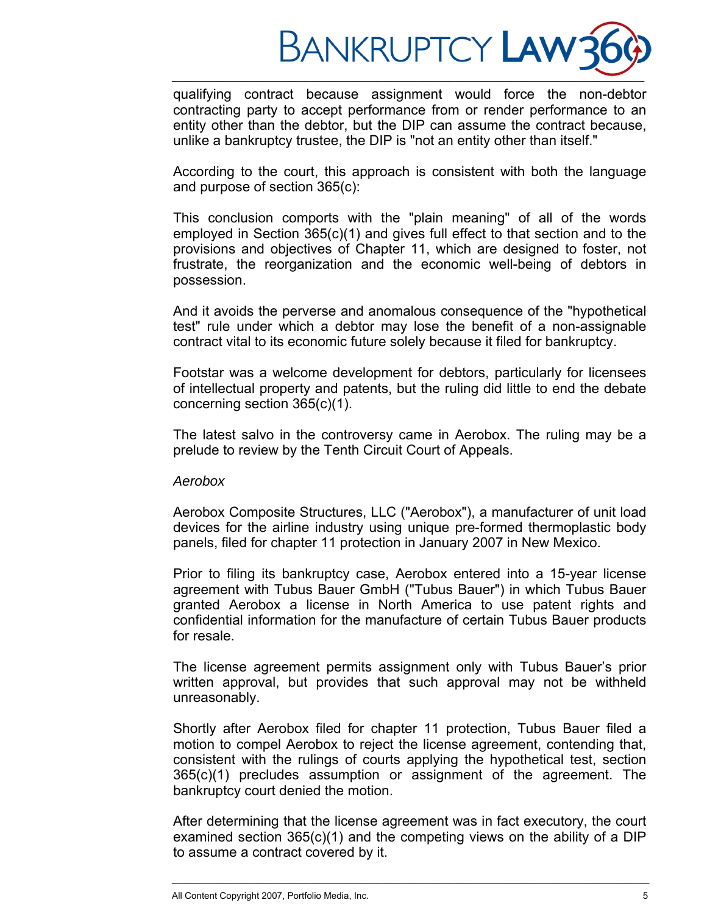

qualifying contract because assignment would force the non-debtor contracting party to accept performance from or render performance to an entity other than the debtor, but the DIP can assume the contract because, unlike a bankruptcy trustee, the DIP is "not an entity other than itself."

\_\_\_\_\_\_\_\_\_\_\_\_\_\_\_\_\_\_\_\_\_\_\_\_\_\_\_\_\_\_\_\_\_\_\_\_\_\_\_\_\_\_\_\_\_\_\_\_\_\_\_\_\_\_\_\_\_\_\_\_\_\_\_\_\_\_\_\_\_\_\_\_\_\_\_\_\_\_\_\_\_\_\_\_\_\_\_\_\_\_\_\_

According to the court, this approach is consistent with both the language and purpose of section 365(c):

This conclusion comports with the "plain meaning" of all of the words employed in Section 365(c)(1) and gives full effect to that section and to the provisions and objectives of Chapter 11, which are designed to foster, not frustrate, the reorganization and the economic well-being of debtors in possession.

And it avoids the perverse and anomalous consequence of the "hypothetical test" rule under which a debtor may lose the benefit of a non-assignable contract vital to its economic future solely because it filed for bankruptcy.

Footstar was a welcome development for debtors, particularly for licensees of intellectual property and patents, but the ruling did little to end the debate concerning section 365(c)(1).

The latest salvo in the controversy came in Aerobox. The ruling may be a prelude to review by the Tenth Circuit Court of Appeals.

#### *Aerobox*

Aerobox Composite Structures, LLC ("Aerobox"), a manufacturer of unit load devices for the airline industry using unique pre-formed thermoplastic body panels, filed for chapter 11 protection in January 2007 in New Mexico.

Prior to filing its bankruptcy case, Aerobox entered into a 15-year license agreement with Tubus Bauer GmbH ("Tubus Bauer") in which Tubus Bauer granted Aerobox a license in North America to use patent rights and confidential information for the manufacture of certain Tubus Bauer products for resale.

The license agreement permits assignment only with Tubus Bauer's prior written approval, but provides that such approval may not be withheld unreasonably.

Shortly after Aerobox filed for chapter 11 protection, Tubus Bauer filed a motion to compel Aerobox to reject the license agreement, contending that, consistent with the rulings of courts applying the hypothetical test, section 365(c)(1) precludes assumption or assignment of the agreement. The bankruptcy court denied the motion.

After determining that the license agreement was in fact executory, the court examined section 365(c)(1) and the competing views on the ability of a DIP to assume a contract covered by it.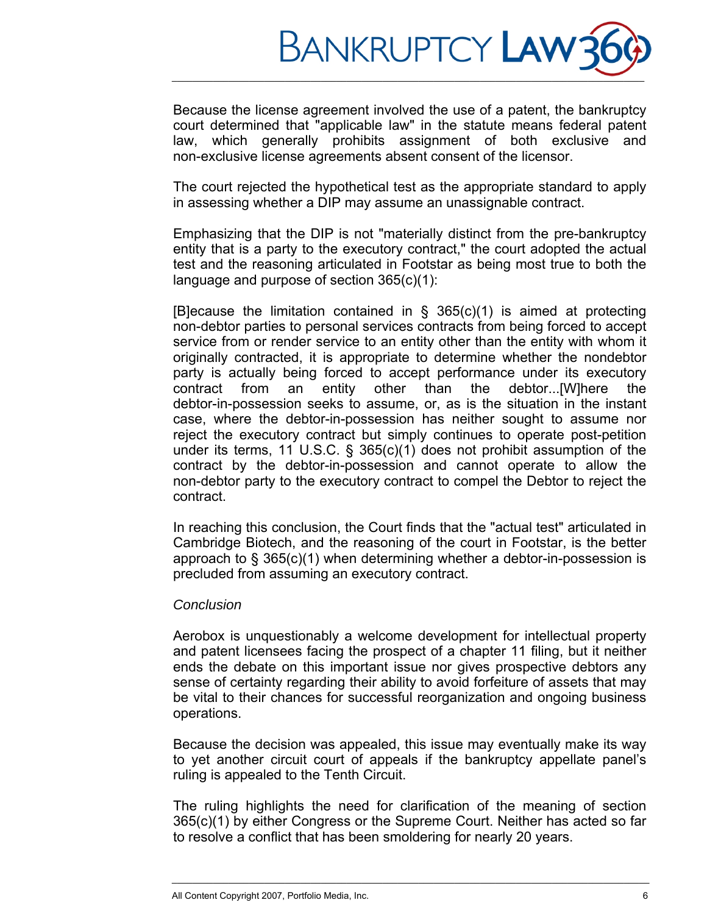

Because the license agreement involved the use of a patent, the bankruptcy court determined that "applicable law" in the statute means federal patent law, which generally prohibits assignment of both exclusive and non-exclusive license agreements absent consent of the licensor.

The court rejected the hypothetical test as the appropriate standard to apply in assessing whether a DIP may assume an unassignable contract.

Emphasizing that the DIP is not "materially distinct from the pre-bankruptcy entity that is a party to the executory contract," the court adopted the actual test and the reasoning articulated in Footstar as being most true to both the language and purpose of section 365(c)(1):

[B]ecause the limitation contained in  $\S$  365(c)(1) is aimed at protecting non-debtor parties to personal services contracts from being forced to accept service from or render service to an entity other than the entity with whom it originally contracted, it is appropriate to determine whether the nondebtor party is actually being forced to accept performance under its executory contract from an entity other than the debtor...[W]here the debtor-in-possession seeks to assume, or, as is the situation in the instant case, where the debtor-in-possession has neither sought to assume nor reject the executory contract but simply continues to operate post-petition under its terms, 11 U.S.C. § 365(c)(1) does not prohibit assumption of the contract by the debtor-in-possession and cannot operate to allow the non-debtor party to the executory contract to compel the Debtor to reject the contract.

In reaching this conclusion, the Court finds that the "actual test" articulated in Cambridge Biotech, and the reasoning of the court in Footstar, is the better approach to § 365(c)(1) when determining whether a debtor-in-possession is precluded from assuming an executory contract.

## *Conclusion*

Aerobox is unquestionably a welcome development for intellectual property and patent licensees facing the prospect of a chapter 11 filing, but it neither ends the debate on this important issue nor gives prospective debtors any sense of certainty regarding their ability to avoid forfeiture of assets that may be vital to their chances for successful reorganization and ongoing business operations.

Because the decision was appealed, this issue may eventually make its way to yet another circuit court of appeals if the bankruptcy appellate panel's ruling is appealed to the Tenth Circuit.

The ruling highlights the need for clarification of the meaning of section 365(c)(1) by either Congress or the Supreme Court. Neither has acted so far to resolve a conflict that has been smoldering for nearly 20 years.